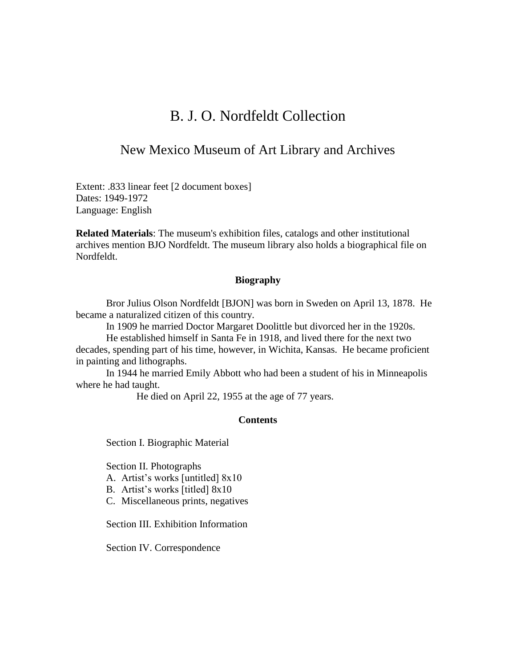## B. J. O. Nordfeldt Collection

## New Mexico Museum of Art Library and Archives

Extent: .833 linear feet [2 document boxes] Dates: 1949-1972 Language: English

**Related Materials**: The museum's exhibition files, catalogs and other institutional archives mention BJO Nordfeldt. The museum library also holds a biographical file on Nordfeldt.

#### **Biography**

Bror Julius Olson Nordfeldt [BJON] was born in Sweden on April 13, 1878. He became a naturalized citizen of this country.

In 1909 he married Doctor Margaret Doolittle but divorced her in the 1920s.

He established himself in Santa Fe in 1918, and lived there for the next two decades, spending part of his time, however, in Wichita, Kansas. He became proficient in painting and lithographs.

In 1944 he married Emily Abbott who had been a student of his in Minneapolis where he had taught.

He died on April 22, 1955 at the age of 77 years.

#### **Contents**

Section I. Biographic Material

Section II. Photographs

A. Artist's works [untitled] 8x10

B. Artist's works [titled] 8x10

C. Miscellaneous prints, negatives

Section III. Exhibition Information

Section IV. Correspondence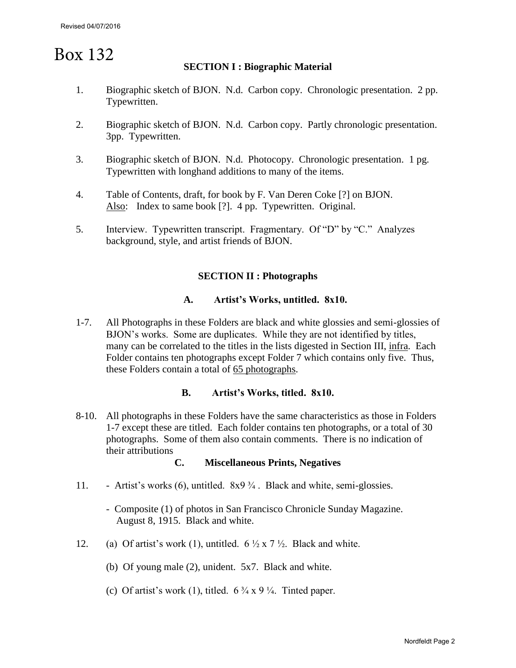# Box 132

### **SECTION I : Biographic Material**

- 1. Biographic sketch of BJON. N.d. Carbon copy. Chronologic presentation. 2 pp. Typewritten.
- 2. Biographic sketch of BJON. N.d. Carbon copy. Partly chronologic presentation. 3pp. Typewritten.
- 3. Biographic sketch of BJON. N.d. Photocopy. Chronologic presentation. 1 pg. Typewritten with longhand additions to many of the items.
- 4. Table of Contents, draft, for book by F. Van Deren Coke [?] on BJON. Also: Index to same book [?]. 4 pp. Typewritten. Original.
- 5. Interview. Typewritten transcript. Fragmentary. Of "D" by "C." Analyzes background, style, and artist friends of BJON.

#### **SECTION II : Photographs**

#### **A. Artist's Works, untitled. 8x10.**

1-7. All Photographs in these Folders are black and white glossies and semi-glossies of BJON's works. Some are duplicates. While they are not identified by titles, many can be correlated to the titles in the lists digested in Section III, infra. Each Folder contains ten photographs except Folder 7 which contains only five. Thus, these Folders contain a total of 65 photographs.

#### **B. Artist's Works, titled. 8x10.**

8-10. All photographs in these Folders have the same characteristics as those in Folders 1-7 except these are titled. Each folder contains ten photographs, or a total of 30 photographs. Some of them also contain comments. There is no indication of their attributions

#### **C. Miscellaneous Prints, Negatives**

- 11. Artist's works (6), untitled. 8x9 ¾ . Black and white, semi-glossies.
	- Composite (1) of photos in San Francisco Chronicle Sunday Magazine. August 8, 1915. Black and white.
- 12. (a) Of artist's work (1), untitled.  $6\frac{1}{2} \times 7\frac{1}{2}$ . Black and white.
	- (b) Of young male (2), unident. 5x7. Black and white.
	- (c) Of artist's work (1), titled.  $6\frac{3}{4} \times 9\frac{1}{4}$ . Tinted paper.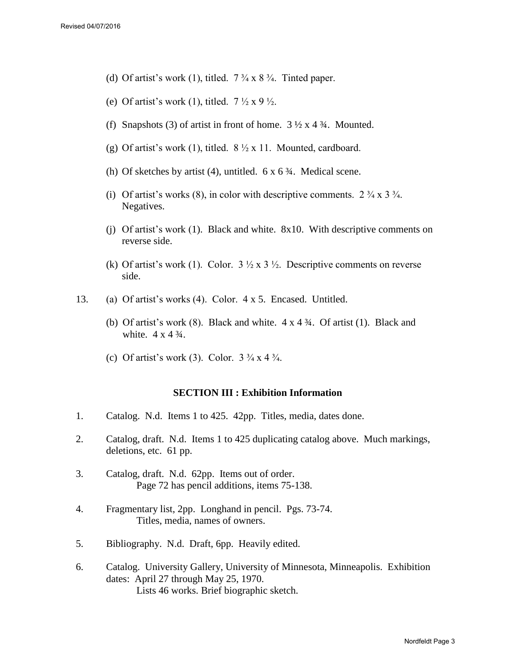- (d) Of artist's work (1), titled.  $7\frac{3}{4} \times 8\frac{3}{4}$ . Tinted paper.
- (e) Of artist's work (1), titled.  $7\frac{1}{2} \times 9\frac{1}{2}$ .
- (f) Snapshots (3) of artist in front of home.  $3\frac{1}{2} \times 4\frac{3}{4}$ . Mounted.
- (g) Of artist's work (1), titled.  $8\frac{1}{2} \times 11$ . Mounted, cardboard.
- (h) Of sketches by artist (4), untitled.  $6 \times 6\frac{3}{4}$ . Medical scene.
- (i) Of artist's works (8), in color with descriptive comments.  $2 \frac{3}{4} \times 3 \frac{3}{4}$ . Negatives.
- (j) Of artist's work (1). Black and white. 8x10. With descriptive comments on reverse side.
- (k) Of artist's work (1). Color.  $3\frac{1}{2} \times 3\frac{1}{2}$ . Descriptive comments on reverse side.
- 13. (a) Of artist's works (4). Color. 4 x 5. Encased. Untitled.
	- (b) Of artist's work  $(8)$ . Black and white.  $4 \times 4 \frac{3}{4}$ . Of artist  $(1)$ . Black and white.  $4 \times 4 \frac{3}{4}$ .
	- (c) Of artist's work (3). Color.  $3\frac{3}{4} \times 4\frac{3}{4}$ .

#### **SECTION III : Exhibition Information**

- 1. Catalog. N.d. Items 1 to 425. 42pp. Titles, media, dates done.
- 2. Catalog, draft. N.d. Items 1 to 425 duplicating catalog above. Much markings, deletions, etc. 61 pp.
- 3. Catalog, draft. N.d. 62pp. Items out of order. Page 72 has pencil additions, items 75-138.
- 4. Fragmentary list, 2pp. Longhand in pencil. Pgs. 73-74. Titles, media, names of owners.
- 5. Bibliography. N.d. Draft, 6pp. Heavily edited.
- 6. Catalog. University Gallery, University of Minnesota, Minneapolis. Exhibition dates: April 27 through May 25, 1970. Lists 46 works. Brief biographic sketch.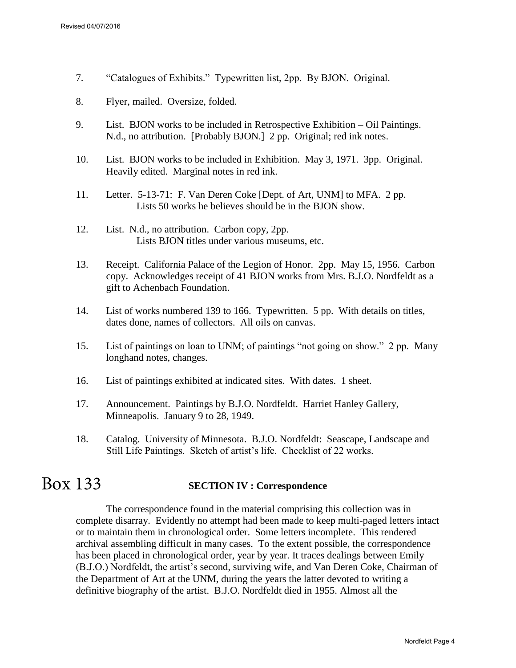- 7. "Catalogues of Exhibits." Typewritten list, 2pp. By BJON. Original.
- 8. Flyer, mailed. Oversize, folded.
- 9. List. BJON works to be included in Retrospective Exhibition Oil Paintings. N.d., no attribution. [Probably BJON.] 2 pp. Original; red ink notes.
- 10. List. BJON works to be included in Exhibition. May 3, 1971. 3pp. Original. Heavily edited. Marginal notes in red ink.
- 11. Letter. 5-13-71: F. Van Deren Coke [Dept. of Art, UNM] to MFA. 2 pp. Lists 50 works he believes should be in the BJON show.
- 12. List. N.d., no attribution. Carbon copy, 2pp. Lists BJON titles under various museums, etc.
- 13. Receipt. California Palace of the Legion of Honor. 2pp. May 15, 1956. Carbon copy. Acknowledges receipt of 41 BJON works from Mrs. B.J.O. Nordfeldt as a gift to Achenbach Foundation.
- 14. List of works numbered 139 to 166. Typewritten. 5 pp. With details on titles, dates done, names of collectors. All oils on canvas.
- 15. List of paintings on loan to UNM; of paintings "not going on show." 2 pp. Many longhand notes, changes.
- 16. List of paintings exhibited at indicated sites. With dates. 1 sheet.
- 17. Announcement. Paintings by B.J.O. Nordfeldt. Harriet Hanley Gallery, Minneapolis. January 9 to 28, 1949.
- 18. Catalog. University of Minnesota. B.J.O. Nordfeldt: Seascape, Landscape and Still Life Paintings. Sketch of artist's life. Checklist of 22 works.

#### **SECTION IV : Correspondence**  Box 133

The correspondence found in the material comprising this collection was in complete disarray. Evidently no attempt had been made to keep multi-paged letters intact or to maintain them in chronological order. Some letters incomplete. This rendered archival assembling difficult in many cases.To the extent possible, the correspondence has been placed in chronological order, year by year. It traces dealings between Emily (B.J.O.) Nordfeldt, the artist's second, surviving wife, and Van Deren Coke, Chairman of the Department of Art at the UNM, during the years the latter devoted to writing a definitive biography of the artist. B.J.O. Nordfeldt died in 1955. Almost all the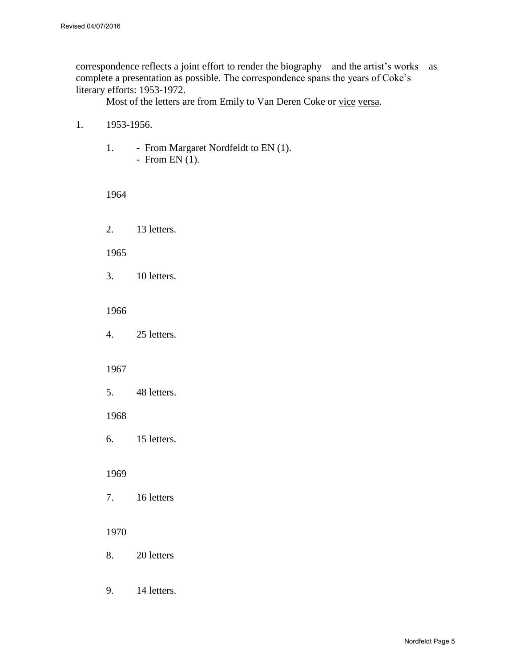correspondence reflects a joint effort to render the biography – and the artist's works – as complete a presentation as possible. The correspondence spans the years of Coke's literary efforts: 1953-1972.

Most of the letters are from Emily to Van Deren Coke or vice versa.

#### 1. 1953-1956.

1. - From Margaret Nordfeldt to EN (1). - From EN $(1)$ .

1964

2. 13 letters.

1965

3. 10 letters.

1966

4. 25 letters.

#### 1967

5. 48 letters.

#### 1968

6. 15 letters.

#### 1969

7. 16 letters

#### 1970

- 8. 20 letters
- 9. 14 letters.